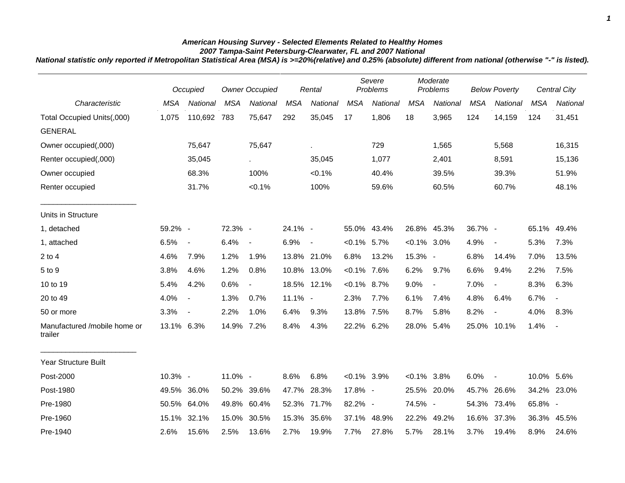## *American Housing Survey - Selected Elements Related to Healthy Homes*

*2007 Tampa-Saint Petersburg-Clearwater, FL and 2007 National National statistic only reported if Metropolitan Statistical Area (MSA) is >=20%(relative) and 0.25% (absolute) different from national (otherwise "-" is listed).*

|                                              |            | Occupied                 | <b>Owner Occupied</b> |                             |            | Rental                   |                | Severe<br>Problems |                | Moderate<br>Problems     |            | <b>Below Poverty</b>     |            | Central City   |
|----------------------------------------------|------------|--------------------------|-----------------------|-----------------------------|------------|--------------------------|----------------|--------------------|----------------|--------------------------|------------|--------------------------|------------|----------------|
| Characteristic                               | <b>MSA</b> | National                 | <b>MSA</b>            | National                    | <b>MSA</b> | National                 | <b>MSA</b>     | <b>National</b>    | <b>MSA</b>     | National                 | <b>MSA</b> | National                 | <b>MSA</b> | National       |
| Total Occupied Units(,000)<br><b>GENERAL</b> | 1,075      | 110,692                  | 783                   | 75,647                      | 292        | 35,045                   | 17             | 1,806              | 18             | 3,965                    | 124        | 14,159                   | 124        | 31,451         |
| Owner occupied(,000)                         |            | 75,647                   |                       | 75,647                      |            | k.                       |                | 729                |                | 1,565                    |            | 5,568                    |            | 16,315         |
| Renter occupied(,000)                        |            | 35,045                   |                       | $\mathcal{L}^{\mathcal{L}}$ |            | 35,045                   |                | 1,077              |                | 2,401                    |            | 8,591                    |            | 15,136         |
| Owner occupied                               |            | 68.3%                    |                       | 100%                        |            | $< 0.1\%$                |                | 40.4%              |                | 39.5%                    |            | 39.3%                    |            | 51.9%          |
| Renter occupied                              |            | 31.7%                    |                       | < 0.1%                      |            | 100%                     |                | 59.6%              |                | 60.5%                    |            | 60.7%                    |            | 48.1%          |
| Units in Structure                           |            |                          |                       |                             |            |                          |                |                    |                |                          |            |                          |            |                |
| 1, detached                                  | 59.2% -    |                          | 72.3% -               |                             | 24.1% -    |                          |                | 55.0% 43.4%        |                | 26.8% 45.3%              | 36.7% -    |                          | 65.1%      | 49.4%          |
| 1, attached                                  | 6.5%       | $\overline{\phantom{a}}$ | 6.4%                  | $\overline{\phantom{a}}$    | 6.9%       | $\overline{\phantom{a}}$ | $< 0.1\%$ 5.7% |                    | $< 0.1\%$ 3.0% |                          | 4.9%       | $\blacksquare$           | 5.3%       | 7.3%           |
| $2$ to 4                                     | 4.6%       | 7.9%                     | 1.2%                  | 1.9%                        |            | 13.8% 21.0%              | 6.8%           | 13.2%              | 15.3% -        |                          | 6.8%       | 14.4%                    | 7.0%       | 13.5%          |
| 5 to 9                                       | 3.8%       | 4.6%                     | 1.2%                  | 0.8%                        |            | 10.8% 13.0%              | $< 0.1\%$ 7.6% |                    | 6.2%           | 9.7%                     | 6.6%       | 9.4%                     | 2.2%       | 7.5%           |
| 10 to 19                                     | 5.4%       | 4.2%                     | 0.6%                  | $\overline{\phantom{a}}$    |            | 18.5% 12.1%              | $< 0.1\%$ 8.7% |                    | 9.0%           | $\overline{\phantom{a}}$ | 7.0%       | $\overline{\phantom{a}}$ | 8.3%       | 6.3%           |
| 20 to 49                                     | 4.0%       | $\overline{\phantom{a}}$ | 1.3%                  | 0.7%                        | $11.1\%$ - |                          | 2.3%           | 7.7%               | 6.1%           | 7.4%                     | 4.8%       | 6.4%                     | 6.7%       | $\blacksquare$ |
| 50 or more                                   | 3.3%       | $\overline{\phantom{a}}$ | 2.2%                  | 1.0%                        | 6.4%       | 9.3%                     | 13.8% 7.5%     |                    | 8.7%           | 5.8%                     | 8.2%       | $\overline{\phantom{a}}$ | 4.0%       | 8.3%           |
| Manufactured /mobile home or<br>trailer      | 13.1% 6.3% |                          | 14.9%                 | 7.2%                        | 8.4%       | 4.3%                     | 22.2% 6.2%     |                    | 28.0%          | 5.4%                     | 25.0%      | 10.1%                    | 1.4%       | $\blacksquare$ |
| <b>Year Structure Built</b>                  |            |                          |                       |                             |            |                          |                |                    |                |                          |            |                          |            |                |
| Post-2000                                    | 10.3% -    |                          | 11.0% -               |                             | 8.6%       | 6.8%                     | $< 0.1\%$ 3.9% |                    | $< 0.1\%$ 3.8% |                          | 6.0%       | $\blacksquare$           | 10.0% 5.6% |                |
| Post-1980                                    |            | 49.5% 36.0%              |                       | 50.2% 39.6%                 | 47.7%      | 28.3%                    | 17.8% -        |                    |                | 25.5% 20.0%              |            | 45.7% 26.6%              |            | 34.2% 23.0%    |
| Pre-1980                                     |            | 50.5% 64.0%              | 49.8%                 | 60.4%                       | 52.3%      | 71.7%                    | 82.2% -        |                    | 74.5% -        |                          |            | 54.3% 73.4%              | 65.8% -    |                |
| Pre-1960                                     | 15.1%      | 32.1%                    | 15.0%                 | 30.5%                       | 15.3%      | 35.6%                    |                | 37.1% 48.9%        | 22.2%          | 49.2%                    | 16.6%      | 37.3%                    | 36.3%      | 45.5%          |
| Pre-1940                                     | 2.6%       | 15.6%                    | 2.5%                  | 13.6%                       | 2.7%       | 19.9%                    | 7.7%           | 27.8%              | 5.7%           | 28.1%                    | 3.7%       | 19.4%                    | 8.9%       | 24.6%          |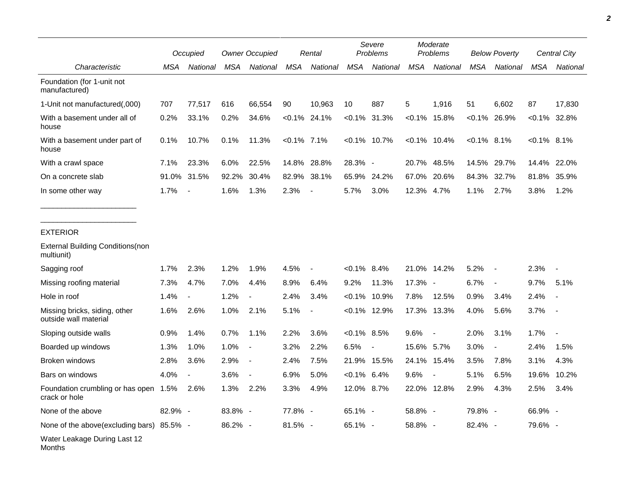|                                                        |         | Occupied                 | <b>Owner Occupied</b> |                          | Rental         |                          | Severe<br>Problems |                 | Moderate<br>Problems |                          | <b>Below Poverty</b> |                          | Central City  |                 |
|--------------------------------------------------------|---------|--------------------------|-----------------------|--------------------------|----------------|--------------------------|--------------------|-----------------|----------------------|--------------------------|----------------------|--------------------------|---------------|-----------------|
| Characteristic                                         | MSA     | National                 | MSA                   | National                 | <b>MSA</b>     | National                 | <b>MSA</b>         | National        | <b>MSA</b>           | National                 | <b>MSA</b>           | National                 | <b>MSA</b>    | National        |
| Foundation (for 1-unit not<br>manufactured)            |         |                          |                       |                          |                |                          |                    |                 |                      |                          |                      |                          |               |                 |
| 1-Unit not manufactured(,000)                          | 707     | 77,517                   | 616                   | 66,554                   | 90             | 10,963                   | 10                 | 887             | 5                    | 1,916                    | 51                   | 6,602                    | 87            | 17,830          |
| With a basement under all of<br>house                  | 0.2%    | 33.1%                    | 0.2%                  | 34.6%                    |                | $< 0.1\%$ 24.1%          |                    | $< 0.1\%$ 31.3% | $< 0.1\%$            | 15.8%                    |                      | $< 0.1\%$ 26.9%          |               | $< 0.1\%$ 32.8% |
| With a basement under part of<br>house                 | 0.1%    | 10.7%                    | 0.1%                  | 11.3%                    | $< 0.1\%$ 7.1% |                          |                    | $< 0.1\%$ 10.7% |                      | $< 0.1\%$ 10.4%          | $< 0.1\%$ 8.1%       |                          | $<0.1\%$ 8.1% |                 |
| With a crawl space                                     | 7.1%    | 23.3%                    | 6.0%                  | 22.5%                    | 14.8%          | 28.8%                    | 28.3% -            |                 | 20.7%                | 48.5%                    | 14.5%                | 29.7%                    | 14.4%         | 22.0%           |
| On a concrete slab                                     | 91.0%   | 31.5%                    | 92.2%                 | 30.4%                    | 82.9%          | 38.1%                    | 65.9%              | 24.2%           | 67.0%                | 20.6%                    | 84.3%                | 32.7%                    | 81.8%         | 35.9%           |
| In some other way                                      | 1.7%    | $\blacksquare$           | 1.6%                  | 1.3%                     | 2.3%           | $\overline{\phantom{a}}$ | 5.7%               | 3.0%            | 12.3%                | 4.7%                     | 1.1%                 | 2.7%                     | 3.8%          | 1.2%            |
| <b>EXTERIOR</b>                                        |         |                          |                       |                          |                |                          |                    |                 |                      |                          |                      |                          |               |                 |
| <b>External Building Conditions (non</b><br>multiunit) |         |                          |                       |                          |                |                          |                    |                 |                      |                          |                      |                          |               |                 |
| Sagging roof                                           | 1.7%    | 2.3%                     | 1.2%                  | 1.9%                     | 4.5%           | $\overline{\phantom{a}}$ | $< 0.1\%$ 8.4%     |                 | 21.0%                | 14.2%                    | 5.2%                 | $\sim$                   | 2.3%          |                 |
| Missing roofing material                               | 7.3%    | 4.7%                     | 7.0%                  | 4.4%                     | 8.9%           | 6.4%                     | 9.2%               | 11.3%           | 17.3% -              |                          | 6.7%                 | $\overline{\phantom{a}}$ | 9.7%          | 5.1%            |
| Hole in roof                                           | 1.4%    | $\overline{\phantom{a}}$ | 1.2%                  |                          | 2.4%           | 3.4%                     | $< 0.1\%$          | 10.9%           | 7.8%                 | 12.5%                    | 0.9%                 | 3.4%                     | 2.4%          |                 |
| Missing bricks, siding, other<br>outside wall material | 1.6%    | 2.6%                     | 1.0%                  | 2.1%                     | 5.1%           | $\overline{\phantom{a}}$ |                    | $< 0.1\%$ 12.9% | 17.3%                | 13.3%                    | 4.0%                 | 5.6%                     | 3.7%          |                 |
| Sloping outside walls                                  | 0.9%    | 1.4%                     | 0.7%                  | 1.1%                     | 2.2%           | 3.6%                     | $< 0.1\%$ 8.5%     |                 | 9.6%                 | $\overline{\phantom{a}}$ | 2.0%                 | 3.1%                     | 1.7%          |                 |
| Boarded up windows                                     | 1.3%    | 1.0%                     | 1.0%                  | $\overline{\phantom{a}}$ | 3.2%           | 2.2%                     | 6.5%               | $\blacksquare$  | 15.6% 5.7%           |                          | 3.0%                 | $\overline{\phantom{a}}$ | 2.4%          | 1.5%            |
| Broken windows                                         | 2.8%    | 3.6%                     | 2.9%                  | $\overline{\phantom{a}}$ | 2.4%           | 7.5%                     |                    | 21.9% 15.5%     |                      | 24.1% 15.4%              | 3.5%                 | 7.8%                     | 3.1%          | 4.3%            |
| Bars on windows                                        | 4.0%    |                          | 3.6%                  |                          | 6.9%           | 5.0%                     | $< 0.1\%$ 6.4%     |                 | 9.6%                 |                          | 5.1%                 | 6.5%                     | 19.6%         | 10.2%           |
| Foundation crumbling or has open 1.5%<br>crack or hole |         | 2.6%                     | 1.3%                  | 2.2%                     | 3.3%           | 4.9%                     | 12.0% 8.7%         |                 |                      | 22.0% 12.8%              | 2.9%                 | 4.3%                     | 2.5%          | $3.4\%$         |
| None of the above                                      | 82.9% - |                          | 83.8% -               |                          | 77.8% -        |                          | 65.1% -            |                 | 58.8% -              |                          | 79.8% -              |                          | 66.9% -       |                 |
| None of the above(excluding bars) 85.5% -              |         |                          | 86.2% -               |                          | $81.5\% -$     |                          | 65.1% -            |                 | 58.8% -              |                          | 82.4% -              |                          | 79.6% -       |                 |
| Water Leakage During Last 12<br>Months                 |         |                          |                       |                          |                |                          |                    |                 |                      |                          |                      |                          |               |                 |

*2*

 $\overline{\phantom{0}}$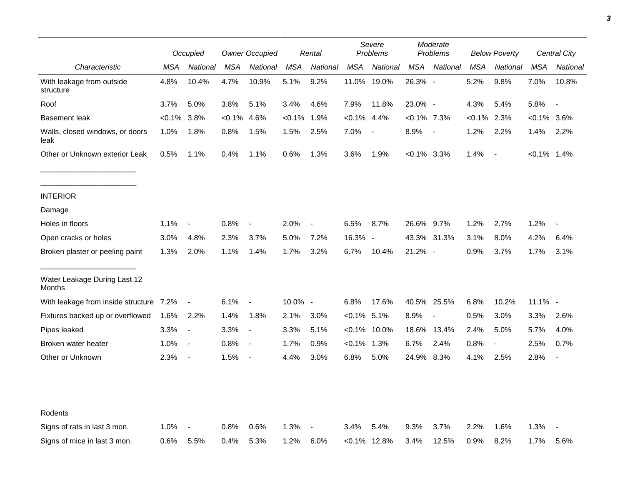|                                         |           | Occupied                 |            | <b>Owner Occupied</b>    |            | Rental                   |                | Severe<br>Problems |                | Moderate<br>Problems     |            | <b>Below Poverty</b>     |                | Central City             |  |
|-----------------------------------------|-----------|--------------------------|------------|--------------------------|------------|--------------------------|----------------|--------------------|----------------|--------------------------|------------|--------------------------|----------------|--------------------------|--|
| Characteristic                          | MSA       | National                 | <b>MSA</b> | National                 | <b>MSA</b> | National                 | <b>MSA</b>     | National           | MSA            | National                 | <b>MSA</b> | National                 | <b>MSA</b>     | National                 |  |
| With leakage from outside<br>structure  | 4.8%      | 10.4%                    | 4.7%       | 10.9%                    | 5.1%       | 9.2%                     | 11.0%          | 19.0%              | 26.3% -        |                          | 5.2%       | 9.8%                     | 7.0%           | 10.8%                    |  |
| Roof                                    | 3.7%      | 5.0%                     | 3.8%       | 5.1%                     | 3.4%       | 4.6%                     | 7.9%           | 11.8%              | 23.0% -        |                          | 4.3%       | 5.4%                     | 5.8%           | $\overline{\phantom{a}}$ |  |
| <b>Basement leak</b>                    | $< 0.1\%$ | 3.8%                     | <0.1%      | 4.6%                     | $< 0.1\%$  | 1.9%                     | $< 0.1\%$      | 4.4%               | $<0.1\%$ 7.3%  |                          | $< 0.1\%$  | 2.3%                     | <0.1%          | 3.6%                     |  |
| Walls, closed windows, or doors<br>leak | 1.0%      | 1.8%                     | 0.8%       | 1.5%                     | 1.5%       | 2.5%                     | 7.0%           | $\blacksquare$     | 8.9%           | $\overline{\phantom{a}}$ | 1.2%       | 2.2%                     | 1.4%           | 2.2%                     |  |
| Other or Unknown exterior Leak          | 0.5%      | 1.1%                     | 0.4%       | 1.1%                     | 0.6%       | 1.3%                     | 3.6%           | 1.9%               | $< 0.1\%$ 3.3% |                          | 1.4%       | $\sim$                   | $< 0.1\%$ 1.4% |                          |  |
| <b>INTERIOR</b>                         |           |                          |            |                          |            |                          |                |                    |                |                          |            |                          |                |                          |  |
| Damage                                  |           |                          |            |                          |            |                          |                |                    |                |                          |            |                          |                |                          |  |
| Holes in floors                         | 1.1%      | $\overline{\phantom{a}}$ | 0.8%       | $\overline{\phantom{a}}$ | 2.0%       | $\overline{\phantom{a}}$ | 6.5%           | 8.7%               | 26.6% 9.7%     |                          | 1.2%       | 2.7%                     | 1.2%           |                          |  |
| Open cracks or holes                    | 3.0%      | 4.8%                     | 2.3%       | 3.7%                     | 5.0%       | 7.2%                     | 16.3% -        |                    |                | 43.3% 31.3%              | 3.1%       | 8.0%                     | 4.2%           | 6.4%                     |  |
| Broken plaster or peeling paint         | 1.3%      | 2.0%                     | 1.1%       | 1.4%                     | 1.7%       | 3.2%                     | 6.7%           | 10.4%              | 21.2% -        |                          | 0.9%       | 3.7%                     | 1.7%           | 3.1%                     |  |
| Water Leakage During Last 12<br>Months  |           |                          |            |                          |            |                          |                |                    |                |                          |            |                          |                |                          |  |
| With leakage from inside structure 7.2% |           | $\overline{\phantom{a}}$ | 6.1%       | $\blacksquare$           | 10.0% -    |                          | 6.8%           | 17.6%              |                | 40.5% 25.5%              | 6.8%       | 10.2%                    | $11.1\%$ -     |                          |  |
| Fixtures backed up or overflowed        | 1.6%      | 2.2%                     | 1.4%       | 1.8%                     | 2.1%       | 3.0%                     | $< 0.1\%$ 5.1% |                    | 8.9%           | $\overline{\phantom{a}}$ | 0.5%       | 3.0%                     | 3.3%           | 2.6%                     |  |
| Pipes leaked                            | 3.3%      | $\blacksquare$           | 3.3%       | $\blacksquare$           | 3.3%       | 5.1%                     |                | $< 0.1\%$ 10.0%    | 18.6%          | 13.4%                    | 2.4%       | 5.0%                     | 5.7%           | 4.0%                     |  |
| Broken water heater                     | 1.0%      | $\blacksquare$           | 0.8%       | $\overline{\phantom{a}}$ | 1.7%       | 0.9%                     | $< 0.1\%$ 1.3% |                    | 6.7%           | 2.4%                     | 0.8%       | $\overline{\phantom{a}}$ | 2.5%           | 0.7%                     |  |
| Other or Unknown                        | 2.3%      | $\blacksquare$           | 1.5%       | $\overline{\phantom{a}}$ | 4.4%       | 3.0%                     | 6.8%           | 5.0%               | 24.9% 8.3%     |                          | 4.1%       | 2.5%                     | 2.8%           | $\overline{\phantom{a}}$ |  |
| Rodents                                 |           |                          |            |                          |            |                          |                |                    |                |                          |            |                          |                |                          |  |
| Signs of rats in last 3 mon.            | 1.0%      |                          | 0.8%       | 0.6%                     | 1.3%       |                          | 3.4%           | 5.4%               | 9.3%           | 3.7%                     | 2.2%       | 1.6%                     | 1.3%           |                          |  |
| Signs of mice in last 3 mon.            | 0.6%      | 5.5%                     | 0.4%       | 5.3%                     | 1.2%       | 6.0%                     |                | $< 0.1\%$ 12.8%    | 3.4%           | 12.5%                    | 0.9%       | 8.2%                     | 1.7%           | 5.6%                     |  |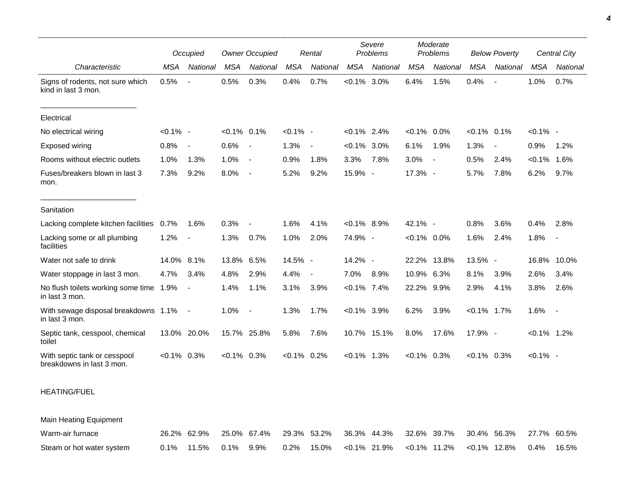|                                                           |                | Occupied                 |                | <b>Owner Occupied</b> |                | Rental                   |                | Severe<br>Problems |                | Moderate<br>Problems     |                | <b>Below Poverty</b>     |                | <b>Central City</b> |
|-----------------------------------------------------------|----------------|--------------------------|----------------|-----------------------|----------------|--------------------------|----------------|--------------------|----------------|--------------------------|----------------|--------------------------|----------------|---------------------|
| Characteristic                                            | <b>MSA</b>     | National                 | <b>MSA</b>     | National              | <b>MSA</b>     | National                 | <b>MSA</b>     | National           | <b>MSA</b>     | National                 | <b>MSA</b>     | National                 | <b>MSA</b>     | National            |
| Signs of rodents, not sure which<br>kind in last 3 mon.   | 0.5%           | $\blacksquare$           | 0.5%           | 0.3%                  | 0.4%           | 0.7%                     | $< 0.1\%$      | 3.0%               | 6.4%           | 1.5%                     | 0.4%           |                          | 1.0%           | 0.7%                |
| Electrical                                                |                |                          |                |                       |                |                          |                |                    |                |                          |                |                          |                |                     |
| No electrical wiring                                      | $< 0.1\%$ -    |                          | $< 0.1\%$ 0.1% |                       | $< 0.1\%$ -    |                          | $< 0.1\%$ 2.4% |                    | $< 0.1\%$      | $0.0\%$                  | $< 0.1\%$ 0.1% |                          | $< 0.1\%$ -    |                     |
| Exposed wiring                                            | 0.8%           | $\blacksquare$           | 0.6%           | $\sim$                | 1.3%           | $\overline{\phantom{a}}$ | $< 0.1\%$      | 3.0%               | 6.1%           | 1.9%                     | 1.3%           | $\overline{\phantom{a}}$ | 0.9%           | 1.2%                |
| Rooms without electric outlets                            | 1.0%           | 1.3%                     | 1.0%           | $\overline{a}$        | 0.9%           | 1.8%                     | 3.3%           | 7.8%               | 3.0%           | $\overline{\phantom{a}}$ | 0.5%           | 2.4%                     | $< 0.1\%$      | 1.6%                |
| Fuses/breakers blown in last 3<br>mon.                    | 7.3%           | 9.2%                     | 8.0%           | $\sim$                | 5.2%           | 9.2%                     | 15.9% -        |                    | 17.3% -        |                          | 5.7%           | 7.8%                     | 6.2%           | 9.7%                |
| Sanitation                                                |                |                          |                |                       |                |                          |                |                    |                |                          |                |                          |                |                     |
| Lacking complete kitchen facilities                       | 0.7%           | 1.6%                     | 0.3%           |                       | 1.6%           | 4.1%                     | $< 0.1\%$ 8.9% |                    | 42.1% -        |                          | 0.8%           | 3.6%                     | 0.4%           | 2.8%                |
| Lacking some or all plumbing<br>facilities                | 1.2%           | $\overline{\phantom{a}}$ | 1.3%           | 0.7%                  | 1.0%           | 2.0%                     | 74.9% -        |                    | $< 0.1\%$ 0.0% |                          | 1.6%           | 2.4%                     | 1.8%           | $\sim$              |
| Water not safe to drink                                   | 14.0%          | $8.1\%$                  | 13.8%          | 6.5%                  | 14.5% -        |                          | 14.2% -        |                    | 22.2%          | 13.8%                    | 13.5% -        |                          | 16.8%          | 10.0%               |
| Water stoppage in last 3 mon.                             | 4.7%           | 3.4%                     | 4.8%           | 2.9%                  | 4.4%           | $\overline{\phantom{a}}$ | 7.0%           | 8.9%               | 10.9% 6.3%     |                          | 8.1%           | 3.9%                     | 2.6%           | 3.4%                |
| No flush toilets working some time 1.9%<br>in last 3 mon. |                | $\blacksquare$           | 1.4%           | 1.1%                  | 3.1%           | 3.9%                     | $< 0.1\%$ 7.4% |                    | 22.2%          | 9.9%                     | 2.9%           | 4.1%                     | 3.8%           | 2.6%                |
| With sewage disposal breakdowns 1.1%<br>in last 3 mon.    |                | $\sim$                   | 1.0%           | $\sim$ $-$            | 1.3%           | 1.7%                     | $< 0.1\%$ 3.9% |                    | 6.2%           | 3.9%                     | $< 0.1\%$ 1.7% |                          | 1.6%           | $\sim$ $-$          |
| Septic tank, cesspool, chemical<br>toilet                 |                | 13.0% 20.0%              | 15.7% 25.8%    |                       | 5.8%           | 7.6%                     |                | 10.7% 15.1%        | 8.0%           | 17.6%                    | 17.9% -        |                          | $< 0.1\%$ 1.2% |                     |
| With septic tank or cesspool<br>breakdowns in last 3 mon. | $< 0.1\%$ 0.3% |                          | $< 0.1\%$ 0.3% |                       | $< 0.1\%$ 0.2% |                          | $< 0.1\%$ 1.3% |                    | $< 0.1\%$ 0.3% |                          | $< 0.1\%$ 0.3% |                          | $< 0.1\%$ -    |                     |

## HEATING/FUEL

Main Heating Equipment Warm-air furnace 26.2% 62.9% 25.0% 67.4% 29.3% 53.2% 36.3% 44.3% 32.6% 39.7% 30.4% 56.3% 27.7% 60.5% Steam or hot water system 0.1% 11.5% 0.1% 9.9% 0.2% 15.0% <0.1% 21.9% <0.1% 11.2% <0.1% 12.8% 0.4% 16.5%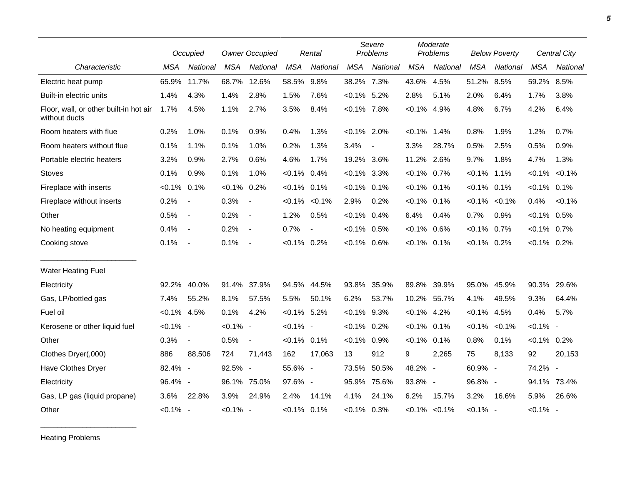|                                                         |                | Occupied                 |                | <b>Owner Occupied</b>    |                | Rental         |                | Severe<br>Problems |                | Moderate<br>Problems |                | <b>Below Poverty</b> |                | Central City |  |
|---------------------------------------------------------|----------------|--------------------------|----------------|--------------------------|----------------|----------------|----------------|--------------------|----------------|----------------------|----------------|----------------------|----------------|--------------|--|
| Characteristic                                          | <b>MSA</b>     | National                 | <b>MSA</b>     | National                 | <b>MSA</b>     | National       | <b>MSA</b>     | National           | <b>MSA</b>     | National             | <b>MSA</b>     | National             | <b>MSA</b>     | National     |  |
| Electric heat pump                                      | 65.9%          | 11.7%                    | 68.7%          | 12.6%                    | 58.5%          | 9.8%           | 38.2% 7.3%     |                    | 43.6%          | 4.5%                 | 51.2%          | 8.5%                 | 59.2%          | 8.5%         |  |
| Built-in electric units                                 | 1.4%           | 4.3%                     | 1.4%           | 2.8%                     | 1.5%           | 7.6%           | $< 0.1\%$ 5.2% |                    | 2.8%           | 5.1%                 | 2.0%           | 6.4%                 | 1.7%           | 3.8%         |  |
| Floor, wall, or other built-in hot air<br>without ducts | 1.7%           | 4.5%                     | 1.1%           | 2.7%                     | 3.5%           | 8.4%           | $< 0.1\%$ 7.8% |                    | $< 0.1\%$ 4.9% |                      | 4.8%           | 6.7%                 | 4.2%           | 6.4%         |  |
| Room heaters with flue                                  | 0.2%           | 1.0%                     | 0.1%           | 0.9%                     | 0.4%           | 1.3%           | $< 0.1\%$ 2.0% |                    | $< 0.1\%$      | $1.4\%$              | 0.8%           | 1.9%                 | 1.2%           | 0.7%         |  |
| Room heaters without flue                               | 0.1%           | 1.1%                     | 0.1%           | 1.0%                     | 0.2%           | 1.3%           | 3.4%           | $\blacksquare$     | 3.3%           | 28.7%                | 0.5%           | 2.5%                 | 0.5%           | 0.9%         |  |
| Portable electric heaters                               | 3.2%           | 0.9%                     | 2.7%           | 0.6%                     | 4.6%           | 1.7%           | 19.2% 3.6%     |                    | 11.2% 2.6%     |                      | 9.7%           | 1.8%                 | 4.7%           | 1.3%         |  |
| <b>Stoves</b>                                           | 0.1%           | 0.9%                     | 0.1%           | 1.0%                     | $< 0.1\%$ 0.4% |                | $<0.1\%$ 3.3%  |                    | $< 0.1\%$ 0.7% |                      | $< 0.1\%$      | 1.1%                 | $< 0.1\%$      | $< 0.1\%$    |  |
| Fireplace with inserts                                  | $< 0.1\%$      | 0.1%                     | $< 0.1\%$ 0.2% |                          | $< 0.1\%$ 0.1% |                | $< 0.1\%$ 0.1% |                    | $< 0.1\%$      | 0.1%                 | $< 0.1\%$      | 0.1%                 | $< 0.1\%$ 0.1% |              |  |
| Fireplace without inserts                               | 0.2%           | $\blacksquare$           | 0.3%           | $\sim$                   | $< 0.1\%$      | $< 0.1\%$      | 2.9%           | 0.2%               | $< 0.1\%$ 0.1% |                      | $< 0.1\%$      | $< 0.1\%$            | 0.4%           | $< 0.1\%$    |  |
| Other                                                   | 0.5%           | $\blacksquare$           | 0.2%           | $\overline{\phantom{a}}$ | 1.2%           | 0.5%           | $< 0.1\%$ 0.4% |                    | 6.4%           | 0.4%                 | 0.7%           | 0.9%                 | $< 0.1\%$ 0.5% |              |  |
| No heating equipment                                    | 0.4%           | $\overline{\phantom{a}}$ | 0.2%           | $\overline{\phantom{a}}$ | 0.7%           | $\blacksquare$ | $< 0.1\%$ 0.5% |                    | $< 0.1\%$      | 0.6%                 | $< 0.1\%$ 0.7% |                      | $< 0.1\%$ 0.7% |              |  |
| Cooking stove                                           | 0.1%           | $\overline{\phantom{a}}$ | 0.1%           | $\sim$ $-$               | $< 0.1\%$ 0.2% |                | $< 0.1\%$ 0.6% |                    | $< 0.1\%$ 0.1% |                      | $< 0.1\%$ 0.2% |                      | $< 0.1\%$ 0.2% |              |  |
| <b>Water Heating Fuel</b>                               |                |                          |                |                          |                |                |                |                    |                |                      |                |                      |                |              |  |
| Electricity                                             | 92.2%          | 40.0%                    | 91.4%          | 37.9%                    |                | 94.5% 44.5%    | 93.8%          | 35.9%              | 89.8%          | 39.9%                | 95.0%          | 45.9%                | 90.3% 29.6%    |              |  |
| Gas, LP/bottled gas                                     | 7.4%           | 55.2%                    | 8.1%           | 57.5%                    | 5.5%           | 50.1%          | 6.2%           | 53.7%              |                | 10.2% 55.7%          | 4.1%           | 49.5%                | 9.3%           | 64.4%        |  |
| Fuel oil                                                | $< 0.1\%$ 4.5% |                          | 0.1%           | 4.2%                     | $< 0.1\%$ 5.2% |                | $< 0.1\%$ 9.3% |                    | $< 0.1\%$ 4.2% |                      | $< 0.1\%$      | 4.5%                 | 0.4%           | 5.7%         |  |
| Kerosene or other liquid fuel                           | $< 0.1\%$ -    |                          | $< 0.1\%$ -    |                          | $< 0.1\%$ -    |                | $< 0.1\%$ 0.2% |                    | $< 0.1\%$ 0.1% |                      | $< 0.1\%$      | $< 0.1\%$            | $< 0.1\%$ -    |              |  |
| Other                                                   | 0.3%           | $\overline{\phantom{a}}$ | 0.5%           | $\overline{\phantom{a}}$ | $< 0.1\%$ 0.1% |                | $< 0.1\%$      | 0.9%               | $< 0.1\%$      | 0.1%                 | 0.8%           | 0.1%                 | $< 0.1\%$ 0.2% |              |  |
| Clothes Dryer(,000)                                     | 886            | 88,506                   | 724            | 71,443                   | 162            | 17,063         | 13             | 912                | 9              | 2,265                | 75             | 8,133                | 92             | 20,153       |  |
| Have Clothes Dryer                                      | 82.4% -        |                          | 92.5% -        |                          | 55.6% -        |                |                | 73.5% 50.5%        | 48.2% -        |                      | 60.9% -        |                      | 74.2% -        |              |  |
| Electricity                                             | 96.4% -        |                          | 96.1%          | 75.0%                    | 97.6% -        |                | 95.9%          | 75.6%              | 93.8% -        |                      | 96.8% -        |                      |                | 94.1% 73.4%  |  |
| Gas, LP gas (liquid propane)                            | 3.6%           | 22.8%                    | 3.9%           | 24.9%                    | 2.4%           | 14.1%          | 4.1%           | 24.1%              | 6.2%           | 15.7%                | 3.2%           | 16.6%                | 5.9%           | 26.6%        |  |
| Other                                                   | $< 0.1\%$ -    |                          | $< 0.1\%$ -    |                          | $< 0.1\%$ 0.1% |                | $< 0.1\%$ 0.3% |                    |                | $< 0.1\%$ $< 0.1\%$  | $< 0.1\%$ -    |                      | $< 0.1\%$ -    |              |  |

Heating Problems

\_\_\_\_\_\_\_\_\_\_\_\_\_\_\_\_\_\_\_\_\_\_\_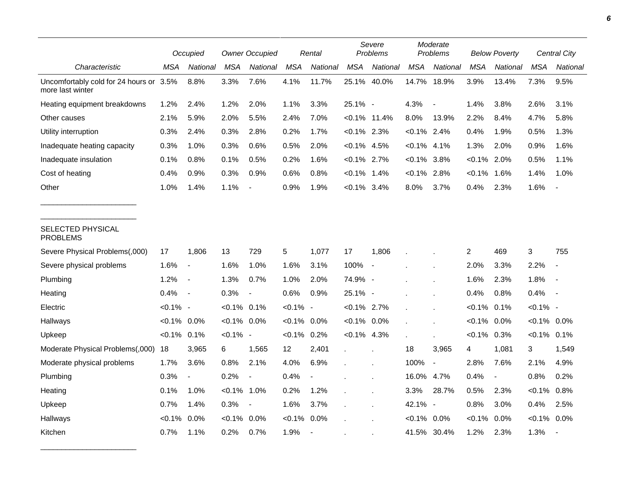|                                                        |                | Occupied                 |                | <b>Owner Occupied</b> |             | Rental                   |                 | Severe<br>Problems       |                | Moderate<br>Problems     |                | <b>Below Poverty</b>     |                | Central City   |  |
|--------------------------------------------------------|----------------|--------------------------|----------------|-----------------------|-------------|--------------------------|-----------------|--------------------------|----------------|--------------------------|----------------|--------------------------|----------------|----------------|--|
| Characteristic                                         | MSA            | National                 | <b>MSA</b>     | National              | <b>MSA</b>  | National                 | <b>MSA</b>      | National                 | <b>MSA</b>     | National                 | <b>MSA</b>     | National                 | <b>MSA</b>     | National       |  |
| Uncomfortably cold for 24 hours or<br>more last winter | 3.5%           | 8.8%                     | 3.3%           | 7.6%                  | 4.1%        | 11.7%                    | 25.1%           | 40.0%                    | 14.7%          | 18.9%                    | 3.9%           | 13.4%                    | 7.3%           | 9.5%           |  |
| Heating equipment breakdowns                           | 1.2%           | 2.4%                     | 1.2%           | 2.0%                  | 1.1%        | 3.3%                     | 25.1% -         |                          | 4.3%           | $\blacksquare$           | 1.4%           | 3.8%                     | 2.6%           | 3.1%           |  |
| Other causes                                           | 2.1%           | 5.9%                     | 2.0%           | 5.5%                  | 2.4%        | 7.0%                     | $< 0.1\%$ 11.4% |                          | 8.0%           | 13.9%                    | 2.2%           | 8.4%                     | 4.7%           | 5.8%           |  |
| Utility interruption                                   | 0.3%           | 2.4%                     | 0.3%           | 2.8%                  | 0.2%        | 1.7%                     | $< 0.1\%$ 2.3%  |                          | $< 0.1\%$ 2.4% |                          | 0.4%           | 1.9%                     | 0.5%           | 1.3%           |  |
| Inadequate heating capacity                            | 0.3%           | 1.0%                     | 0.3%           | 0.6%                  | 0.5%        | 2.0%                     | $< 0.1\%$ 4.5%  |                          | $< 0.1\%$ 4.1% |                          | 1.3%           | 2.0%                     | 0.9%           | 1.6%           |  |
| Inadequate insulation                                  | 0.1%           | 0.8%                     | 0.1%           | 0.5%                  | 0.2%        | 1.6%                     | $< 0.1\%$ 2.7%  |                          | $< 0.1\%$      | 3.8%                     | $< 0.1\%$      | 2.0%                     | 0.5%           | 1.1%           |  |
| Cost of heating                                        | 0.4%           | 0.9%                     | 0.3%           | 0.9%                  | 0.6%        | 0.8%                     | $< 0.1\%$ 1.4%  |                          | $< 0.1\%$ 2.8% |                          | $< 0.1\%$      | 1.6%                     | 1.4%           | 1.0%           |  |
| Other                                                  | 1.0%           | 1.4%                     | 1.1%           |                       | 0.9%        | 1.9%                     | $< 0.1\%$ 3.4%  |                          | 8.0%           | 3.7%                     | 0.4%           | 2.3%                     | 1.6%           |                |  |
| SELECTED PHYSICAL<br><b>PROBLEMS</b>                   |                |                          |                |                       |             |                          |                 |                          |                |                          |                |                          |                |                |  |
| Severe Physical Problems(,000)                         | 17             | 1,806                    | 13             | 729                   | 5           | 1,077                    | 17              | 1,806                    |                |                          | $\overline{c}$ | 469                      | 3              | 755            |  |
| Severe physical problems                               | 1.6%           | $\overline{\phantom{a}}$ | 1.6%           | 1.0%                  | 1.6%        | 3.1%                     | 100%            | $\overline{\phantom{a}}$ |                |                          | 2.0%           | 3.3%                     | 2.2%           | $\overline{a}$ |  |
| Plumbing                                               | 1.2%           | $\overline{\phantom{a}}$ | 1.3%           | 0.7%                  | 1.0%        | 2.0%                     | 74.9% -         |                          |                |                          | 1.6%           | 2.3%                     | 1.8%           | $\blacksquare$ |  |
| Heating                                                | 0.4%           | $\overline{\phantom{a}}$ | 0.3%           | $\blacksquare$        | 0.6%        | 0.9%                     | 25.1% -         |                          |                |                          | 0.4%           | 0.8%                     | 0.4%           |                |  |
| Electric                                               | $< 0.1\%$ -    |                          | $< 0.1\%$ 0.1% |                       | $< 0.1\%$ - |                          | $< 0.1\%$ 2.7%  |                          |                |                          | $< 0.1\%$      | 0.1%                     | $< 0.1\%$ -    |                |  |
| Hallways                                               | $< 0.1\%$ 0.0% |                          | $< 0.1\%$ 0.0% |                       | $<0.1\%$    | $0.0\%$                  | $< 0.1\%$ 0.0%  |                          |                |                          | $< 0.1\%$      | 0.0%                     | $< 0.1\%$ 0.0% |                |  |
| Upkeep                                                 | $< 0.1\%$ 0.1% |                          | $< 0.1\%$ -    |                       | $< 0.1\%$   | 0.2%                     | $< 0.1\%$ 4.3%  |                          |                |                          | $< 0.1\%$ 0.3% |                          | $< 0.1\%$ 0.1% |                |  |
| Moderate Physical Problems(,000)                       | 18             | 3,965                    | 6              | 1,565                 | 12          | 2,401                    |                 |                          | 18             | 3,965                    | 4              | 1,081                    | 3              | 1,549          |  |
| Moderate physical problems                             | 1.7%           | 3.6%                     | 0.8%           | 2.1%                  | 4.0%        | 6.9%                     |                 |                          | 100%           | $\overline{\phantom{a}}$ | 2.8%           | 7.6%                     | 2.1%           | 4.9%           |  |
| Plumbing                                               | 0.3%           |                          | 0.2%           |                       | 0.4%        |                          |                 |                          | 16.0% 4.7%     |                          | 0.4%           | $\overline{\phantom{a}}$ | 0.8%           | 0.2%           |  |
| Heating                                                | 0.1%           | 1.0%                     | $< 0.1\%$      | 1.0%                  | 0.2%        | 1.2%                     |                 |                          | 3.3%           | 28.7%                    | 0.5%           | 2.3%                     | $< 0.1\%$      | 0.8%           |  |
| Upkeep                                                 | 0.7%           | 1.4%                     | 0.3%           | $\blacksquare$        | 1.6%        | 3.7%                     |                 |                          | 42.1%          | $\sim$                   | 0.8%           | 3.0%                     | 0.4%           | 2.5%           |  |
| Hallways                                               | $< 0.1\%$      | $0.0\%$                  | $< 0.1\%$      | $0.0\%$               | $< 0.1\%$   | 0.0%                     |                 |                          | $< 0.1\%$ 0.0% |                          | $< 0.1\%$      | 0.0%                     | $< 0.1\%$ 0.0% |                |  |
| Kitchen                                                | 0.7%           | 1.1%                     | 0.2%           | 0.7%                  | 1.9%        | $\overline{\phantom{a}}$ |                 |                          | 41.5% 30.4%    |                          | 1.2%           | 2.3%                     | 1.3%           |                |  |

\_\_\_\_\_\_\_\_\_\_\_\_\_\_\_\_\_\_\_\_\_\_\_